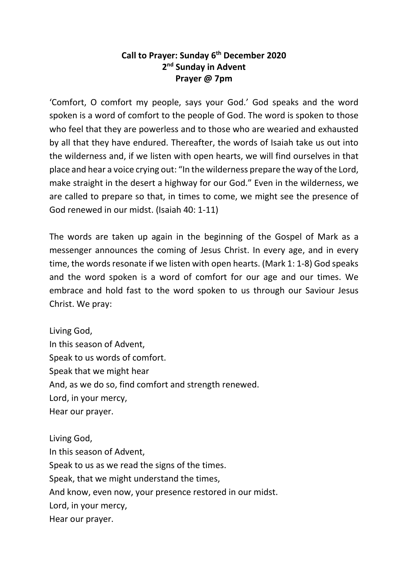## **Call to Prayer: Sunday 6th December 2020 2nd Sunday in Advent Prayer @ 7pm**

'Comfort, O comfort my people, says your God.' God speaks and the word spoken is a word of comfort to the people of God. The word is spoken to those who feel that they are powerless and to those who are wearied and exhausted by all that they have endured. Thereafter, the words of Isaiah take us out into the wilderness and, if we listen with open hearts, we will find ourselves in that place and hear a voice crying out: "In the wilderness prepare the way of the Lord, make straight in the desert a highway for our God." Even in the wilderness, we are called to prepare so that, in times to come, we might see the presence of God renewed in our midst. (Isaiah 40: 1-11)

The words are taken up again in the beginning of the Gospel of Mark as a messenger announces the coming of Jesus Christ. In every age, and in every time, the words resonate if we listen with open hearts. (Mark 1: 1-8) God speaks and the word spoken is a word of comfort for our age and our times. We embrace and hold fast to the word spoken to us through our Saviour Jesus Christ. We pray:

Living God, In this season of Advent, Speak to us words of comfort. Speak that we might hear And, as we do so, find comfort and strength renewed. Lord, in your mercy, Hear our prayer.

Living God, In this season of Advent, Speak to us as we read the signs of the times. Speak, that we might understand the times, And know, even now, your presence restored in our midst. Lord, in your mercy, Hear our prayer.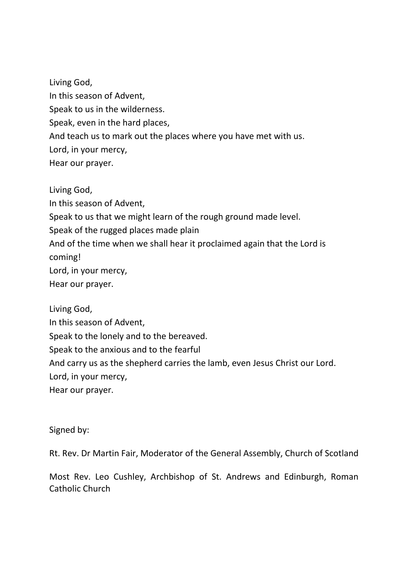Living God, In this season of Advent, Speak to us in the wilderness. Speak, even in the hard places, And teach us to mark out the places where you have met with us. Lord, in your mercy, Hear our prayer.

Living God, In this season of Advent, Speak to us that we might learn of the rough ground made level. Speak of the rugged places made plain And of the time when we shall hear it proclaimed again that the Lord is coming! Lord, in your mercy, Hear our prayer.

Living God, In this season of Advent, Speak to the lonely and to the bereaved. Speak to the anxious and to the fearful And carry us as the shepherd carries the lamb, even Jesus Christ our Lord. Lord, in your mercy, Hear our prayer.

Signed by:

Rt. Rev. Dr Martin Fair, Moderator of the General Assembly, Church of Scotland

Most Rev. Leo Cushley, Archbishop of St. Andrews and Edinburgh, Roman Catholic Church